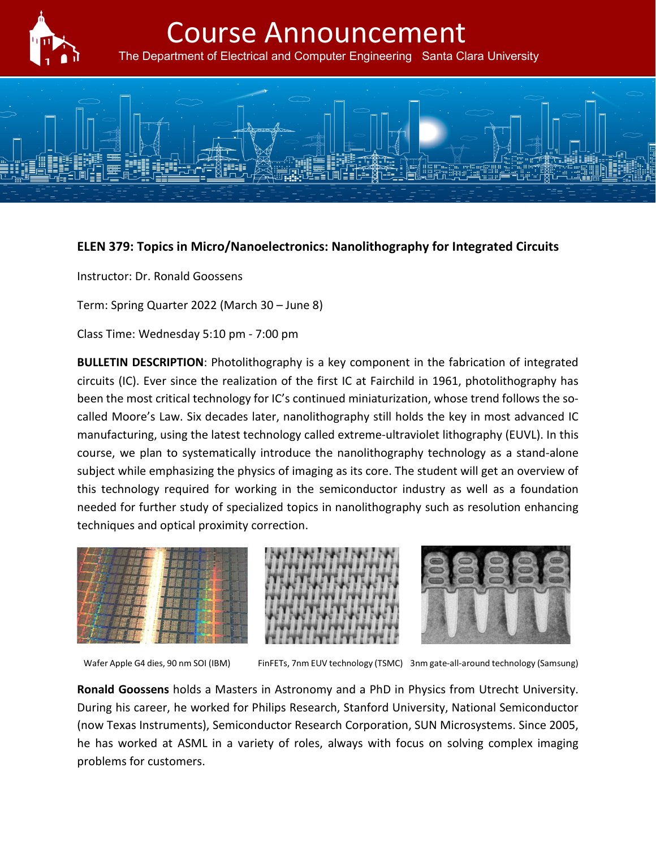

## Course Announcement

The Department of Electrical and Computer Engineering Santa Clara University



## **ELEN 379: Topics in Micro/Nanoelectronics: Nanolithography for Integrated Circuits**

Instructor: Dr. Ronald Goossens

Term: Spring Quarter 2022 (March 30 – June 8)

Class Time: Wednesday 5:10 pm - 7:00 pm

**BULLETIN DESCRIPTION**: Photolithography is a key component in the fabrication of integrated circuits (IC). Ever since the realization of the first IC at Fairchild in 1961, photolithography has been the most critical technology for IC's continued miniaturization, whose trend follows the socalled Moore's Law. Six decades later, nanolithography still holds the key in most advanced IC manufacturing, using the latest technology called extreme-ultraviolet lithography (EUVL). In this course, we plan to systematically introduce the nanolithography technology as a stand-alone subject while emphasizing the physics of imaging as its core. The student will get an overview of this technology required for working in the semiconductor industry as well as a foundation needed for further study of specialized topics in nanolithography such as resolution enhancing techniques and optical proximity correction.







Wafer Apple G4 dies, 90 nm SOI (IBM) FinFETs, 7nm EUV technology (TSMC) 3nm gate-all-around technology (Samsung)

**Ronald Goossens** holds a Masters in Astronomy and a PhD in Physics from Utrecht University. During his career, he worked for Philips Research, Stanford University, National Semiconductor (now Texas Instruments), Semiconductor Research Corporation, SUN Microsystems. Since 2005, he has worked at ASML in a variety of roles, always with focus on solving complex imaging problems for customers.